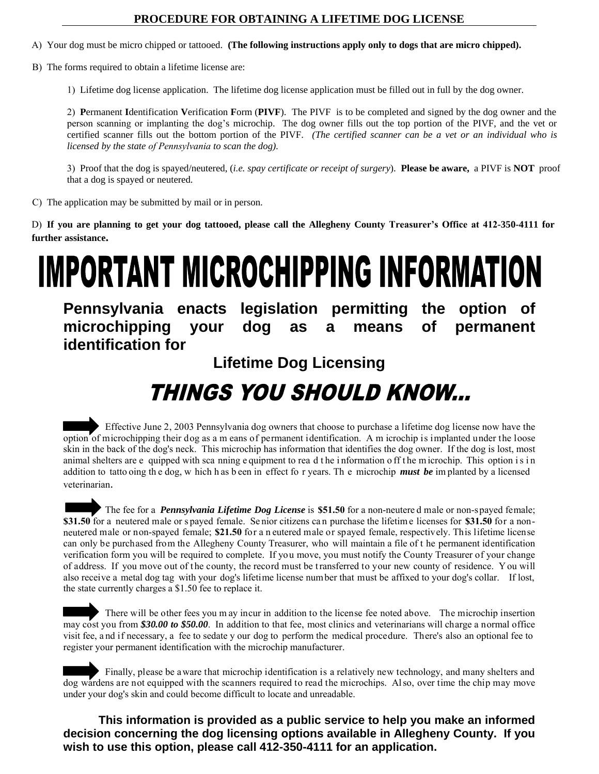### **PROCEDURE FOR OBTAINING A LIFETIME DOG LICENSE**

A) Your dog must be micro chipped or tattooed. **(The following instructions apply only to dogs that are micro chipped).**

B) The forms required to obtain a lifetime license are:

1) Lifetime dog license application. The lifetime dog license application must be filled out in full by the dog owner.

2) **P**ermanent **I**dentification **V**erification **F**orm (**PIVF**). The PIVF is to be completed and signed by the dog owner and the person scanning or implanting the dog's microchip. The dog owner fills out the top portion of the PIVF, and the vet or certified scanner fills out the bottom portion of the PIVF. *(The certified scanner can be a vet or an individual who is licensed by the state of Pennsylvania to scan the dog).*

3) Proof that the dog is spayed/neutered, (*i.e. spay certificate or receipt of surgery*). **Please be aware,** a PIVF is **NOT** proof that a dog is spayed or neutered.

C) The application may be submitted by mail or in person.

D) **If you are planning to get your dog tattooed, please call the Allegheny County Treasurer's Office at 412-350-4111 for further assistance.** 

# **IMPORTANT MICROCHIPPING INFORMATION**

**Pennsylvania enacts legislation permitting the option of microchipping your dog as a means of permanent identification for** 

**Lifetime Dog Licensing** 

# THINGS YOU SHOULD KNOW...

 Effective June 2, 2003 Pennsylvania dog owners that choose to purchase a lifetime dog license now have the option of microchipping their dog as a m eans of permanent identification. A m icrochip is implanted under the loose skin in the back of the dog's neck. This microchip has information that identifies the dog owner. If the dog is lost, most animal shelters are e quipped with sca nning equipment to rea d the information off the m icrochip. This option is in addition to tatto oing th e dog, w hich h as b een in effect fo r years. Th e microchip *must be* im planted by a licensed veterinarian.

The fee for a *Pennsylvania Lifetime Dog License* is \$51.50 for a non-neutered male or non-spayed female; **\$31.50** for a neutered male or s payed female. Se nior citizens ca n purchase the lifetim e licenses for **\$31.50** for a nonneutered male or non-spayed female; **\$21.50** for a n eutered male or spayed female, respectively. This lifetime license can only be purchased from the Allegheny County Treasurer, who will maintain a file of t he permanent identification verification form you will be required to complete. If you move, you must notify the County Treasurer of your change of address. If you move out of t he county, the record must be t ransferred to your new county of residence. Y ou will also receive a metal dog tag with your dog's lifetime license number that must be affixed to your dog's collar. If lost, the state currently charges a \$1.50 fee to replace it.

 There will be other fees you m ay incur in addition to the license fee noted above. The microchip insertion may cost you from *\$30.00 to \$50.00*. In addition to that fee, most clinics and veterinarians will charge a normal office visit fee, a nd if necessary, a fee to sedate y our dog to perform the medical procedure. There's also an optional fee to register your permanent identification with the microchip manufacturer.

 Finally, please be a ware that microchip identification is a relatively new technology, and many shelters and dog wardens are not equipped with the scanners required to read the microchips. Al so, over time the chip may move under your dog's skin and could become difficult to locate and unreadable.

**This information is provided as a public service to help you make an informed decision concerning the dog licensing options available in Allegheny County. If you wish to use this option, please call 412-350-4111 for an application.**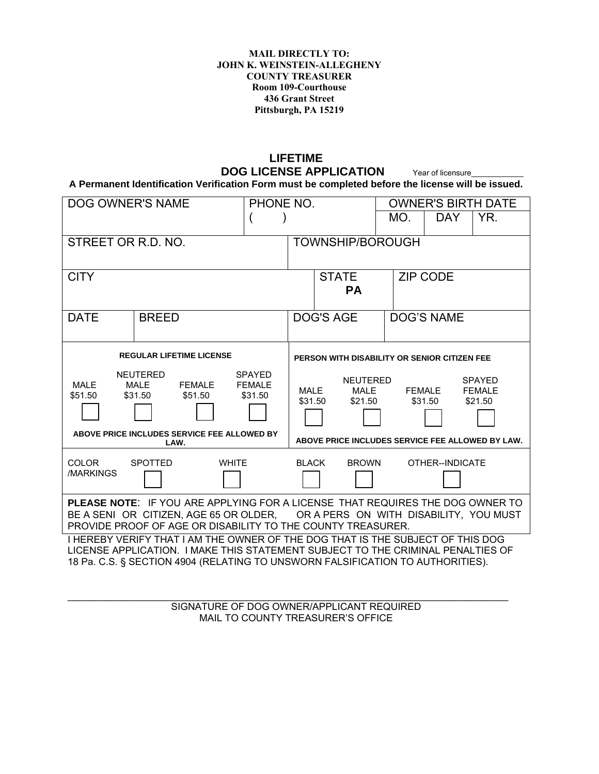#### **MAIL DIRECTLY TO: JOHN K. WEINSTEIN-ALLEGHENY COUNTY TREASURER Room 109-Courthouse 436 Grant Street Pittsburgh, PA 15219**

## **LIFETIME DOG LICENSE APPLICATION** Year of licensure

**A Permanent Identification Verification Form must be completed before the license will be issued.** 

| DOG OWNER'S NAME<br>PHONE NO.                                                                                                                                                                                                                       |                                             |                          |                                              | <b>OWNER'S BIRTH DATE</b>                        |     |                   |               |  |  |  |
|-----------------------------------------------------------------------------------------------------------------------------------------------------------------------------------------------------------------------------------------------------|---------------------------------------------|--------------------------|----------------------------------------------|--------------------------------------------------|-----|-------------------|---------------|--|--|--|
|                                                                                                                                                                                                                                                     |                                             |                          |                                              |                                                  | MO. | DAY.              | YR.           |  |  |  |
| STREET OR R.D. NO.                                                                                                                                                                                                                                  |                                             |                          | <b>TOWNSHIP/BOROUGH</b>                      |                                                  |     |                   |               |  |  |  |
|                                                                                                                                                                                                                                                     |                                             |                          |                                              |                                                  |     |                   |               |  |  |  |
| <b>CITY</b>                                                                                                                                                                                                                                         |                                             |                          | <b>STATE</b>                                 |                                                  |     | <b>ZIP CODE</b>   |               |  |  |  |
|                                                                                                                                                                                                                                                     |                                             |                          |                                              | <b>PA</b>                                        |     |                   |               |  |  |  |
| <b>DATE</b>                                                                                                                                                                                                                                         | <b>BREED</b>                                |                          |                                              | <b>DOG'S AGE</b>                                 |     | <b>DOG'S NAME</b> |               |  |  |  |
|                                                                                                                                                                                                                                                     |                                             |                          |                                              |                                                  |     |                   |               |  |  |  |
| <b>REGULAR LIFETIME LICENSE</b>                                                                                                                                                                                                                     |                                             |                          | PERSON WITH DISABILITY OR SENIOR CITIZEN FEE |                                                  |     |                   |               |  |  |  |
| <b>NEUTERED</b><br><b>SPAYED</b>                                                                                                                                                                                                                    |                                             |                          | <b>NEUTERED</b><br><b>SPAYED</b>             |                                                  |     |                   |               |  |  |  |
| <b>MALE</b><br>\$51.50                                                                                                                                                                                                                              | <b>MALE</b><br>FEMALE<br>\$31.50<br>\$51.50 | <b>FEMALE</b><br>\$31.50 | MALE                                         | MALE                                             |     | FEMALE            | <b>FEMALE</b> |  |  |  |
|                                                                                                                                                                                                                                                     |                                             |                          | \$31.50                                      | \$21.50                                          |     | \$31.50           | \$21.50       |  |  |  |
| ABOVE PRICE INCLUDES SERVICE FEE ALLOWED BY                                                                                                                                                                                                         |                                             |                          |                                              |                                                  |     |                   |               |  |  |  |
| LAW.                                                                                                                                                                                                                                                |                                             |                          |                                              | ABOVE PRICE INCLUDES SERVICE FEE ALLOWED BY LAW. |     |                   |               |  |  |  |
| <b>COLOR</b>                                                                                                                                                                                                                                        | <b>SPOTTED</b><br><b>WHITE</b>              |                          | <b>BLACK</b>                                 | <b>BROWN</b>                                     |     | OTHER--INDICATE   |               |  |  |  |
| /MARKINGS                                                                                                                                                                                                                                           |                                             |                          |                                              |                                                  |     |                   |               |  |  |  |
| <b>PLEASE NOTE: IF YOU ARE APPLYING FOR A LICENSE THAT REQUIRES THE DOG OWNER TO</b><br>BE A SENI OR CITIZEN, AGE 65 OR OLDER, OR A PERS ON WITH DISABILITY, YOU MUST<br>PROVIDE PROOF OF AGE OR DISABILITY TO THE COUNTY TREASURER.                |                                             |                          |                                              |                                                  |     |                   |               |  |  |  |
| I HEREBY VERIFY THAT I AM THE OWNER OF THE DOG THAT IS THE SUBJECT OF THIS DOG<br>LICENSE APPLICATION. I MAKE THIS STATEMENT SUBJECT TO THE CRIMINAL PENALTIES OF<br>18 Pa. C.S. § SECTION 4904 (RELATING TO UNSWORN FALSIFICATION TO AUTHORITIES). |                                             |                          |                                              |                                                  |     |                   |               |  |  |  |
|                                                                                                                                                                                                                                                     |                                             |                          |                                              |                                                  |     |                   |               |  |  |  |

SIGNATURE OF DOG OWNER/APPLICANT REQUIRED MAIL TO COUNTY TREASURER'S OFFICE

\_\_\_\_\_\_\_\_\_\_\_\_\_\_\_\_\_\_\_\_\_\_\_\_\_\_\_\_\_\_\_\_\_\_\_\_\_\_\_\_\_\_\_\_\_\_\_\_\_\_\_\_\_\_\_\_\_\_\_\_\_\_\_\_\_\_\_\_\_\_\_\_\_\_\_\_\_\_\_\_\_